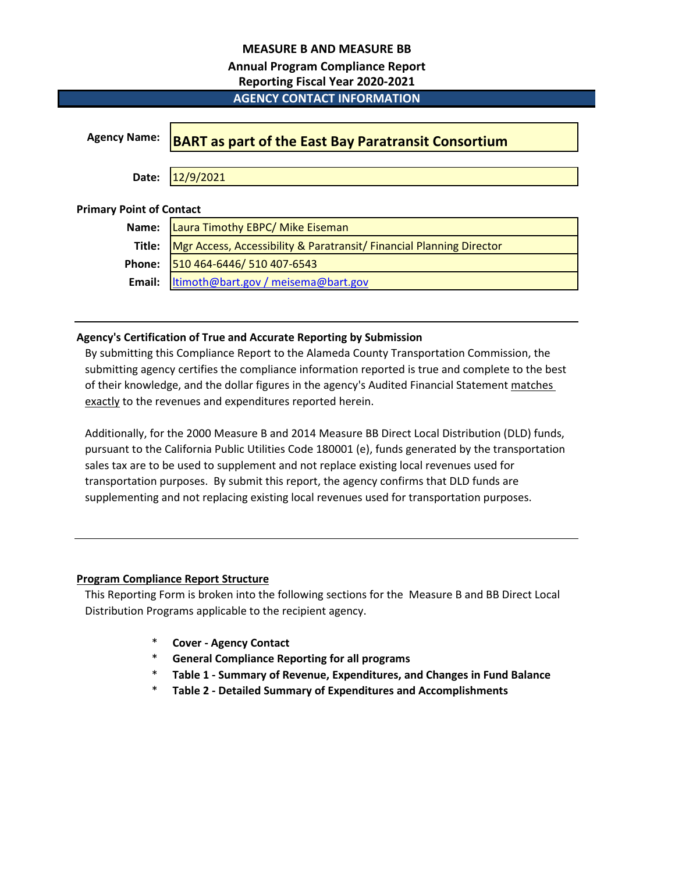### **MEASURE B AND MEASURE BB**

# **Annual Program Compliance Report**

**Reporting Fiscal Year 2020-2021**

# **AGENCY CONTACT INFORMATION**

| <b>Agency Name:</b>             | <b>BART as part of the East Bay Paratransit Consortium</b>           |
|---------------------------------|----------------------------------------------------------------------|
|                                 |                                                                      |
| Date:                           | 12/9/2021                                                            |
|                                 |                                                                      |
| <b>Primary Point of Contact</b> |                                                                      |
| Name:                           | Laura Timothy EBPC/ Mike Eiseman                                     |
| Title:                          | Mgr Access, Accessibility & Paratransit/ Financial Planning Director |
| Phone:                          | 510 464-6446/ 510 407-6543                                           |
| Email:                          | ltimoth@bart.gov / meisema@bart.gov                                  |

# **Agency's Certification of True and Accurate Reporting by Submission**

By submitting this Compliance Report to the Alameda County Transportation Commission, the submitting agency certifies the compliance information reported is true and complete to the best of their knowledge, and the dollar figures in the agency's Audited Financial Statement matches exactly to the revenues and expenditures reported herein.

Additionally, for the 2000 Measure B and 2014 Measure BB Direct Local Distribution (DLD) funds, pursuant to the California Public Utilities Code 180001 (e), funds generated by the transportation sales tax are to be used to supplement and not replace existing local revenues used for transportation purposes. By submit this report, the agency confirms that DLD funds are supplementing and not replacing existing local revenues used for transportation purposes.

# **Program Compliance Report Structure**

This Reporting Form is broken into the following sections for the Measure B and BB Direct Local Distribution Programs applicable to the recipient agency.

- \* **Cover Agency Contact**
- \* **General Compliance Reporting for all programs**
- \* **Table 1 Summary of Revenue, Expenditures, and Changes in Fund Balance**
- \* **Table 2 Detailed Summary of Expenditures and Accomplishments**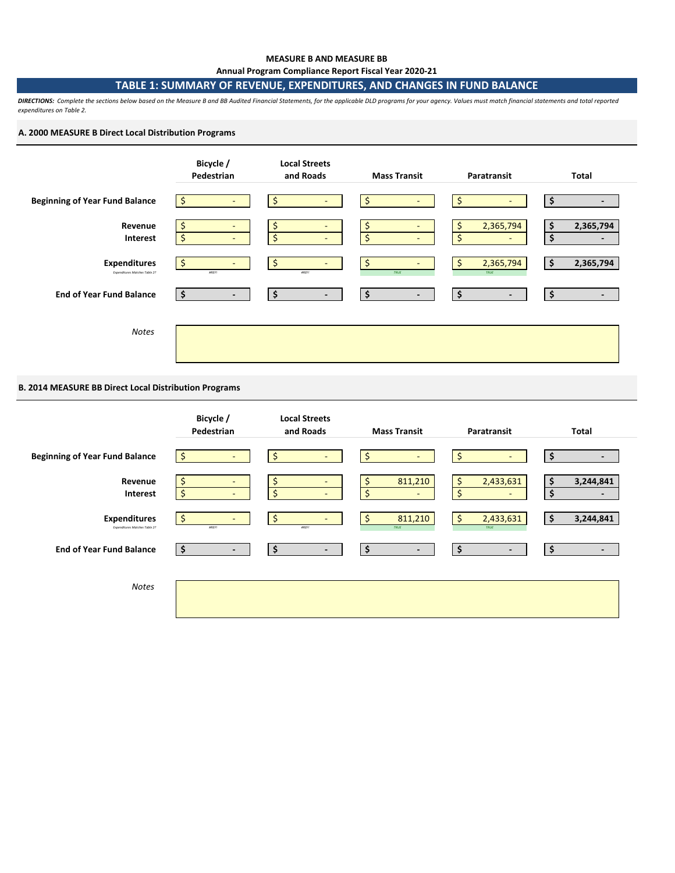#### **MEASURE B AND MEASURE BB Annual Program Compliance Report Fiscal Year 2020-21**

# **TABLE 1: SUMMARY OF REVENUE, EXPENDITURES, AND CHANGES IN FUND BALANCE**

*DIRECTIONS: Complete the sections below based on the Measure B and BB Audited Financial Statements, for the applicable DLD programs for your agency. Values must match financial statements and total reported expenditures on Table 2.* 

#### **A. 2000 MEASURE B Direct Local Distribution Programs**



#### **B. 2014 MEASURE BB Direct Local Distribution Programs**

|                                                      | Bicycle /<br>Pedestrian                 | <b>Local Streets</b><br>and Roads                      | <b>Mass Transit</b>            | Paratransit                                            | <b>Total</b>             |
|------------------------------------------------------|-----------------------------------------|--------------------------------------------------------|--------------------------------|--------------------------------------------------------|--------------------------|
| <b>Beginning of Year Fund Balance</b>                | -S<br>$\sim$                            | \$                                                     | \$                             | $\ddot{\phi}$                                          | $\overline{\phantom{0}}$ |
| Revenue<br>Interest                                  | $\overline{\phantom{a}}$<br>Ś<br>$\sim$ | \$<br>$\overline{\phantom{a}}$<br>\$<br>$\blacksquare$ | 811,210<br>\$<br>\$<br>$\sim$  | \$<br>2,433,631<br>$\zeta$<br>$\overline{\phantom{a}}$ | 3,244,841<br>\$<br>٠     |
| <b>Expenditures</b><br>Expenditures Matches Table 2? | Ś<br><b>AREF!</b>                       | \$<br><b>#REF!</b>                                     | \$<br>811,210<br>TRUE          | $\mathsf{S}$<br>2,433,631<br>TRUE                      | 3,244,841                |
| <b>End of Year Fund Balance</b>                      | \$<br>$\blacksquare$                    | \$<br>$\blacksquare$                                   | \$<br>$\overline{\phantom{a}}$ | $\ddot{\bm{\zeta}}$<br>۰.                              | \$<br>$\blacksquare$     |
| <b>Notes</b>                                         |                                         |                                                        |                                |                                                        |                          |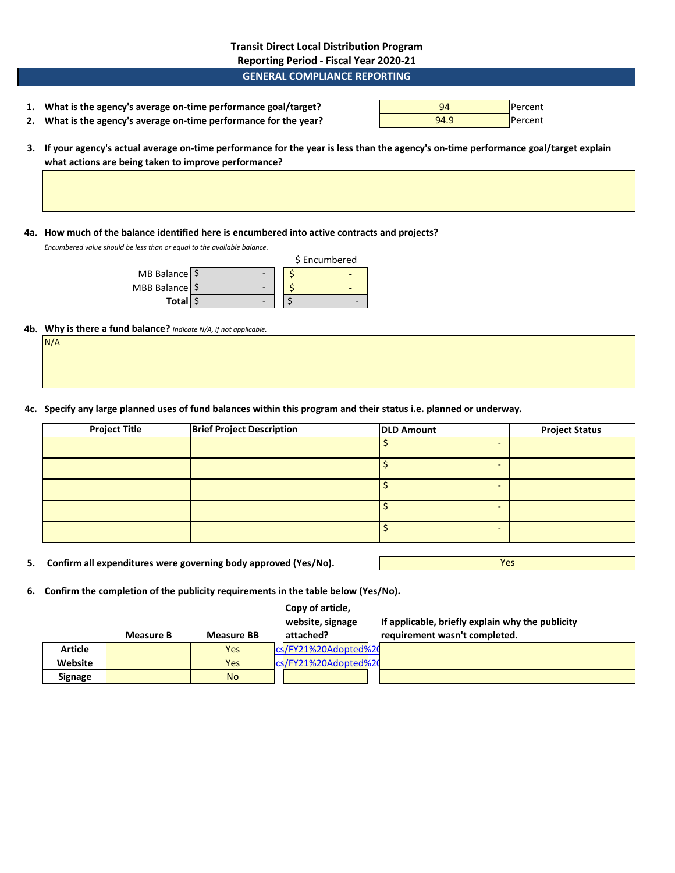**Transit Direct Local Distribution Program Reporting Period - Fiscal Year 2020-21**

### **GENERAL COMPLIANCE REPORTING**

| 1. What is the agency's average on-time performance goal/target?  | 94   | <b>I</b> Percent |
|-------------------------------------------------------------------|------|------------------|
| 2. What is the agency's average on-time performance for the year? | 94.9 | <b>I</b> Percent |

**3. If your agency's actual average on-time performance for the year is less than the agency's on-time performance goal/target explain what actions are being taken to improve performance?**

**4a. How much of the balance identified here is encumbered into active contracts and projects?**

*Encumbered value should be less than or equal to the available balance.* 

|                |  | \$ Encumbered |
|----------------|--|---------------|
| MB Balance \$  |  |               |
| MBB Balance \$ |  |               |
| <b>Total</b>   |  |               |

#### **4b. Why is there a fund balance?** *Indicate N/A, if not applicable.*

N/A

**4c. Specify any large planned uses of fund balances within this program and their status i.e. planned or underway.**

| <b>Project Title</b> | <b>Brief Project Description</b> | <b>DLD Amount</b> | <b>Project Status</b>    |
|----------------------|----------------------------------|-------------------|--------------------------|
|                      |                                  |                   |                          |
|                      |                                  |                   |                          |
|                      |                                  |                   | $\overline{\phantom{a}}$ |
|                      |                                  |                   |                          |
|                      |                                  |                   |                          |

**5. Confirm all expenditures were governing body approved (Yes/No).**

Yes

**6. Confirm the completion of the publicity requirements in the table below (Yes/No).**

|                |           |                   | Copy of article,<br>website, signage | If applicable, briefly explain why the publicity |
|----------------|-----------|-------------------|--------------------------------------|--------------------------------------------------|
|                | Measure B | <b>Measure BB</b> | attached?                            | requirement wasn't completed.                    |
| <b>Article</b> |           | <b>Yes</b>        | cs/FY21%20Adopted%20                 |                                                  |
| Website        |           | <b>Yes</b>        | cs/FY21%20Adopted%20                 |                                                  |
| <b>Signage</b> |           | <b>No</b>         |                                      |                                                  |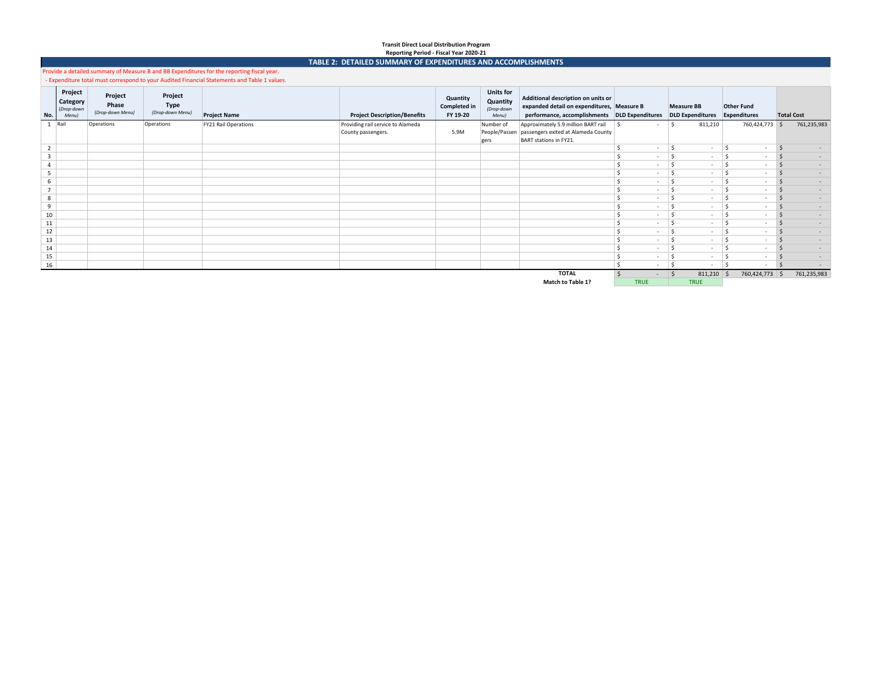# **Transit Direct Local Distribution Program**

# **Reporting Period - Fiscal Year 2020-21 TABLE 2: DETAILED SUMMARY OF EXPENDITURES AND ACCOMPLISHMENTS**

Provide a detailed summary of Measure B and BB Expenditures for the reporting fiscal year. - Expenditure total must correspond to your Audited Financial Statements and Table 1 values.

|                |                                            |                                      |                                     | experience color masc correspond to your numerous manual statements and rabie 2 values. |                                     |                                             |                                                     |                                                                                                                                   |               |                                              |                                   |                   |
|----------------|--------------------------------------------|--------------------------------------|-------------------------------------|-----------------------------------------------------------------------------------------|-------------------------------------|---------------------------------------------|-----------------------------------------------------|-----------------------------------------------------------------------------------------------------------------------------------|---------------|----------------------------------------------|-----------------------------------|-------------------|
| No.            | Project<br>Category<br>(Drop-down<br>Menu) | Project<br>Phase<br>(Drop-down Menu) | Project<br>Type<br>(Drop-down Menu) | <b>Project Name</b>                                                                     | <b>Project Description/Benefits</b> | Quantity<br><b>Completed in</b><br>FY 19-20 | <b>Units for</b><br>Quantity<br>(Drop-down<br>Menu) | Additional description on units or<br>expanded detail on expenditures, Measure B<br>performance, accomplishments DLD Expenditures |               | <b>Measure BB</b><br><b>DLD Expenditures</b> | <b>Other Fund</b><br>Expenditures | <b>Total Cost</b> |
|                | Rail                                       | Operations                           | Operations                          | FY21 Rail Operations                                                                    | Providing rail service to Alameda   |                                             | Number of                                           | Approximately 5.9 million BART rail                                                                                               | ∣ S<br>$\sim$ | 811,210                                      | 760,424,773 \$                    | 761,235,983       |
|                |                                            |                                      |                                     |                                                                                         | County passengers.                  | 5.9M                                        |                                                     | People/Passen passengers exited at Alameda County                                                                                 |               |                                              |                                   |                   |
|                |                                            |                                      |                                     |                                                                                         |                                     |                                             | gers                                                | BART stations in FY21.                                                                                                            |               |                                              |                                   |                   |
| $\overline{2}$ |                                            |                                      |                                     |                                                                                         |                                     |                                             |                                                     |                                                                                                                                   | $\sim$        | $\overline{\phantom{a}}$                     | $\overline{\phantom{a}}$          |                   |
| $\overline{3}$ |                                            |                                      |                                     |                                                                                         |                                     |                                             |                                                     |                                                                                                                                   | $\sim$        | $\overline{\phantom{a}}$                     |                                   |                   |
|                |                                            |                                      |                                     |                                                                                         |                                     |                                             |                                                     |                                                                                                                                   | $\sim$        | $\overline{\phantom{a}}$                     |                                   |                   |
| 5              |                                            |                                      |                                     |                                                                                         |                                     |                                             |                                                     |                                                                                                                                   | $\sim$        | $\overline{\phantom{a}}$                     |                                   |                   |
| 6              |                                            |                                      |                                     |                                                                                         |                                     |                                             |                                                     |                                                                                                                                   | $\sim$        | $\overline{\phantom{a}}$                     |                                   |                   |
|                |                                            |                                      |                                     |                                                                                         |                                     |                                             |                                                     |                                                                                                                                   | $\sim$        | $\overline{\phantom{a}}$                     |                                   |                   |
| 8              |                                            |                                      |                                     |                                                                                         |                                     |                                             |                                                     |                                                                                                                                   | $\sim$        | $\overline{\phantom{a}}$                     |                                   |                   |
| 9              |                                            |                                      |                                     |                                                                                         |                                     |                                             |                                                     |                                                                                                                                   | $\sim$        | $\overline{\phantom{a}}$                     |                                   |                   |
| 10             |                                            |                                      |                                     |                                                                                         |                                     |                                             |                                                     |                                                                                                                                   | $\sim$        | $\overline{\phantom{a}}$                     |                                   |                   |
| 11             |                                            |                                      |                                     |                                                                                         |                                     |                                             |                                                     |                                                                                                                                   | $\sim$        | $\overline{\phantom{a}}$                     |                                   |                   |
| 12             |                                            |                                      |                                     |                                                                                         |                                     |                                             |                                                     |                                                                                                                                   | $\sim$        | $\overline{\phantom{a}}$                     |                                   |                   |
| 13             |                                            |                                      |                                     |                                                                                         |                                     |                                             |                                                     |                                                                                                                                   | $\sim$        | $\overline{\phantom{a}}$                     |                                   |                   |
| 14             |                                            |                                      |                                     |                                                                                         |                                     |                                             |                                                     |                                                                                                                                   | $\sim$        | $\overline{a}$                               |                                   |                   |
| 15             |                                            |                                      |                                     |                                                                                         |                                     |                                             |                                                     |                                                                                                                                   | $\sim$        | $\overline{\phantom{a}}$                     |                                   |                   |
| 16             |                                            |                                      |                                     |                                                                                         |                                     |                                             |                                                     |                                                                                                                                   | $\sim$        | $\overline{\phantom{a}}$                     |                                   |                   |
|                |                                            |                                      |                                     |                                                                                         |                                     |                                             |                                                     | <b>TOTAL</b>                                                                                                                      |               | 811,210                                      | 760,424,773<br>∣\$                | 761,235,983<br>-S |
|                |                                            |                                      |                                     |                                                                                         |                                     |                                             |                                                     | Advantage with a 40-                                                                                                              | <b>TOUR</b>   | <b>TENLIF</b>                                |                                   |                   |

**Match to Table 1?** TRUE TRUE TRUE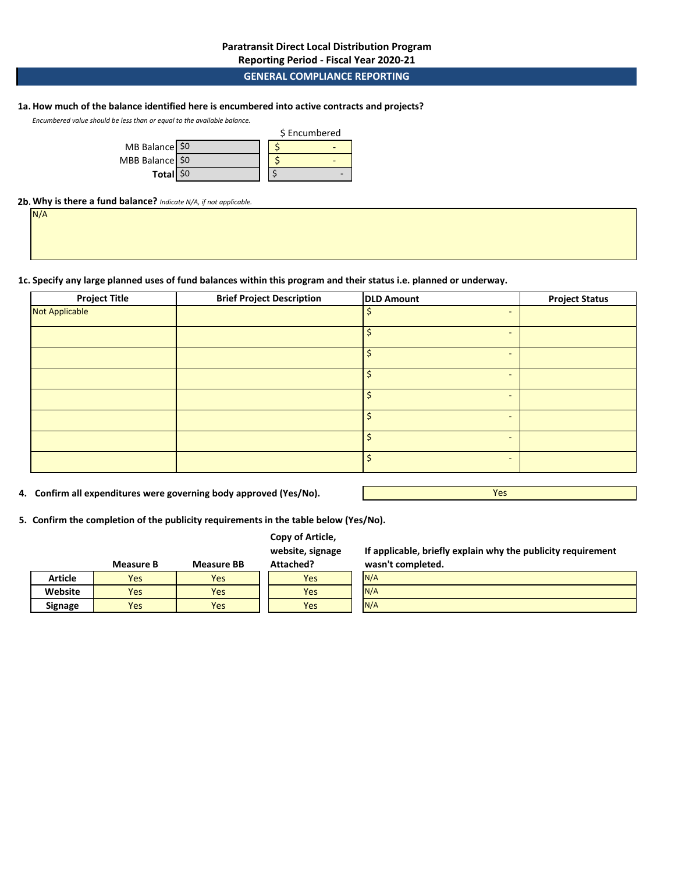# **Reporting Period - Fiscal Year 2020-21**

# **GENERAL COMPLIANCE REPORTING**

### **1a.How much of the balance identified here is encumbered into active contracts and projects?**

*Encumbered value should be less than or equal to the available balance.* 

|                 |  | \$ Encumbered |  |
|-----------------|--|---------------|--|
| MB Balance \$0  |  |               |  |
| MBB Balance \$0 |  |               |  |
| Total \$0       |  |               |  |

### **2b.Why is there a fund balance?** *Indicate N/A, if not applicable.*

N/A

#### **1c. Specify any large planned uses of fund balances within this program and their status i.e. planned or underway.**

| <b>Project Title</b> | <b>Brief Project Description</b> | <b>DLD Amount</b>              | <b>Project Status</b> |
|----------------------|----------------------------------|--------------------------------|-----------------------|
| Not Applicable       |                                  | Ś.<br>$\overline{\phantom{0}}$ |                       |
|                      |                                  | $\overline{\phantom{a}}$       |                       |
|                      |                                  | $\overline{\phantom{0}}$       |                       |
|                      |                                  | $\overline{\phantom{0}}$       |                       |
|                      |                                  | $\overline{\phantom{0}}$       |                       |
|                      |                                  | $\overline{\phantom{a}}$       |                       |
|                      |                                  | ς.<br>$\overline{\phantom{a}}$ |                       |
|                      |                                  | $\overline{\phantom{0}}$       |                       |
|                      |                                  |                                |                       |

**4. Confirm all expenditures were governing body approved (Yes/No).**

Yes

**5. Confirm the completion of the publicity requirements in the table below (Yes/No).**

|  |  | Copy of Article, |
|--|--|------------------|
|--|--|------------------|

**website, signage** 

**If applicable, briefly explain why the publicity requirement wasn't completed.**

|                | Measure B | <b>Measure BB</b> | Attached? | wasn't completed. |
|----------------|-----------|-------------------|-----------|-------------------|
| <b>Article</b> | Yes       | Yes               | Yes       | N/A               |
| Website        | Yes       | Yes               | Yes       | N/A               |
| <b>Signage</b> | Yes       | Yes               | Yes       | N/A               |
|                |           |                   |           |                   |